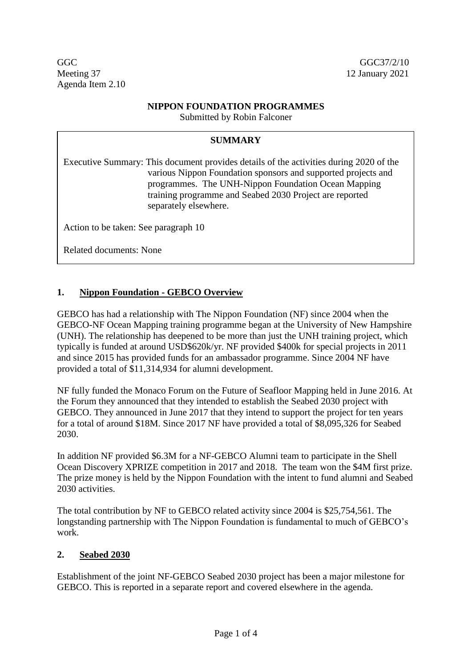GGC GGC GGC37/2/10 Meeting 37 12 January 2021 Agenda Item 2.10

### **NIPPON FOUNDATION PROGRAMMES**

Submitted by Robin Falconer

### **SUMMARY**

Executive Summary: This document provides details of the activities during 2020 of the various Nippon Foundation sponsors and supported projects and programmes. The UNH-Nippon Foundation Ocean Mapping training programme and Seabed 2030 Project are reported separately elsewhere.

Action to be taken: See paragraph 10

Related documents: None

### **1. Nippon Foundation - GEBCO Overview**

GEBCO has had a relationship with The Nippon Foundation (NF) since 2004 when the GEBCO-NF Ocean Mapping training programme began at the University of New Hampshire (UNH). The relationship has deepened to be more than just the UNH training project, which typically is funded at around USD\$620k/yr. NF provided \$400k for special projects in 2011 and since 2015 has provided funds for an ambassador programme. Since 2004 NF have provided a total of \$11,314,934 for alumni development.

NF fully funded the Monaco Forum on the Future of Seafloor Mapping held in June 2016. At the Forum they announced that they intended to establish the Seabed 2030 project with GEBCO. They announced in June 2017 that they intend to support the project for ten years for a total of around \$18M. Since 2017 NF have provided a total of \$8,095,326 for Seabed 2030.

In addition NF provided \$6.3M for a NF-GEBCO Alumni team to participate in the Shell Ocean Discovery XPRIZE competition in 2017 and 2018. The team won the \$4M first prize. The prize money is held by the Nippon Foundation with the intent to fund alumni and Seabed 2030 activities.

The total contribution by NF to GEBCO related activity since 2004 is \$25,754,561. The longstanding partnership with The Nippon Foundation is fundamental to much of GEBCO's work.

### **2. Seabed 2030**

Establishment of the joint NF-GEBCO Seabed 2030 project has been a major milestone for GEBCO. This is reported in a separate report and covered elsewhere in the agenda.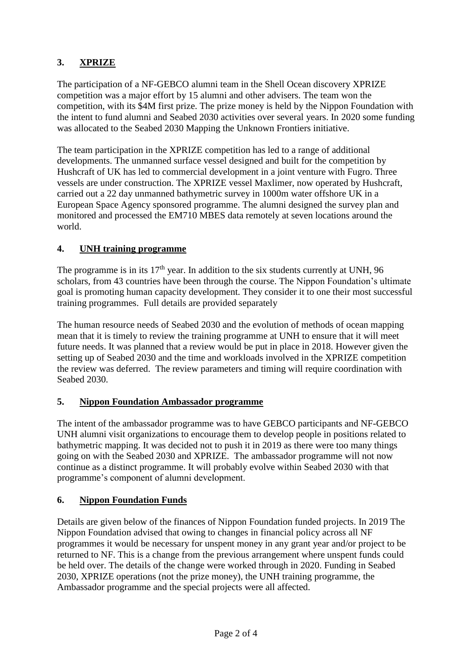# **3. XPRIZE**

The participation of a NF-GEBCO alumni team in the Shell Ocean discovery XPRIZE competition was a major effort by 15 alumni and other advisers. The team won the competition, with its \$4M first prize. The prize money is held by the Nippon Foundation with the intent to fund alumni and Seabed 2030 activities over several years. In 2020 some funding was allocated to the Seabed 2030 Mapping the Unknown Frontiers initiative.

The team participation in the XPRIZE competition has led to a range of additional developments. The unmanned surface vessel designed and built for the competition by Hushcraft of UK has led to commercial development in a joint venture with Fugro. Three vessels are under construction. The XPRIZE vessel Maxlimer, now operated by Hushcraft, carried out a 22 day unmanned bathymetric survey in 1000m water offshore UK in a European Space Agency sponsored programme. The alumni designed the survey plan and monitored and processed the EM710 MBES data remotely at seven locations around the world.

# **4. UNH training programme**

The programme is in its  $17<sup>th</sup>$  year. In addition to the six students currently at UNH, 96 scholars, from 43 countries have been through the course. The Nippon Foundation's ultimate goal is promoting human capacity development. They consider it to one their most successful training programmes. Full details are provided separately

The human resource needs of Seabed 2030 and the evolution of methods of ocean mapping mean that it is timely to review the training programme at UNH to ensure that it will meet future needs. It was planned that a review would be put in place in 2018. However given the setting up of Seabed 2030 and the time and workloads involved in the XPRIZE competition the review was deferred. The review parameters and timing will require coordination with Seabed 2030.

## **5. Nippon Foundation Ambassador programme**

The intent of the ambassador programme was to have GEBCO participants and NF-GEBCO UNH alumni visit organizations to encourage them to develop people in positions related to bathymetric mapping. It was decided not to push it in 2019 as there were too many things going on with the Seabed 2030 and XPRIZE. The ambassador programme will not now continue as a distinct programme. It will probably evolve within Seabed 2030 with that programme's component of alumni development.

## **6. Nippon Foundation Funds**

Details are given below of the finances of Nippon Foundation funded projects. In 2019 The Nippon Foundation advised that owing to changes in financial policy across all NF programmes it would be necessary for unspent money in any grant year and/or project to be returned to NF. This is a change from the previous arrangement where unspent funds could be held over. The details of the change were worked through in 2020. Funding in Seabed 2030, XPRIZE operations (not the prize money), the UNH training programme, the Ambassador programme and the special projects were all affected.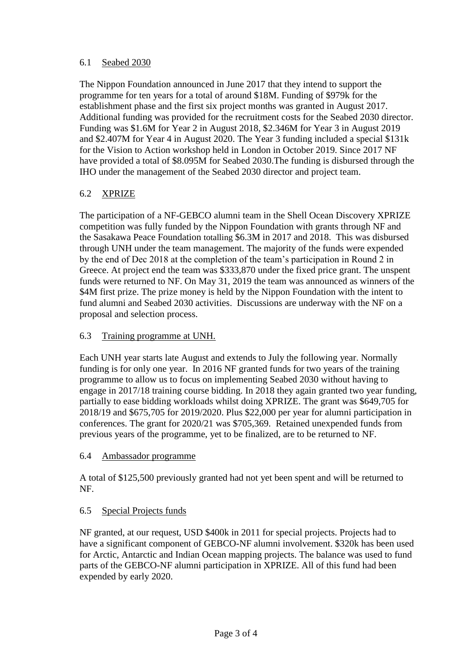### 6.1 Seabed 2030

The Nippon Foundation announced in June 2017 that they intend to support the programme for ten years for a total of around \$18M. Funding of \$979k for the establishment phase and the first six project months was granted in August 2017. Additional funding was provided for the recruitment costs for the Seabed 2030 director. Funding was \$1.6M for Year 2 in August 2018, \$2.346M for Year 3 in August 2019 and \$2.407M for Year 4 in August 2020. The Year 3 funding included a special \$131k for the Vision to Action workshop held in London in October 2019. Since 2017 NF have provided a total of \$8.095M for Seabed 2030.The funding is disbursed through the IHO under the management of the Seabed 2030 director and project team.

## 6.2 XPRIZE

The participation of a NF-GEBCO alumni team in the Shell Ocean Discovery XPRIZE competition was fully funded by the Nippon Foundation with grants through NF and the Sasakawa Peace Foundation totalling \$6.3M in 2017 and 2018. This was disbursed through UNH under the team management. The majority of the funds were expended by the end of Dec 2018 at the completion of the team's participation in Round 2 in Greece. At project end the team was \$333,870 under the fixed price grant. The unspent funds were returned to NF. On May 31, 2019 the team was announced as winners of the \$4M first prize. The prize money is held by the Nippon Foundation with the intent to fund alumni and Seabed 2030 activities. Discussions are underway with the NF on a proposal and selection process.

### 6.3 Training programme at UNH.

Each UNH year starts late August and extends to July the following year. Normally funding is for only one year. In 2016 NF granted funds for two years of the training programme to allow us to focus on implementing Seabed 2030 without having to engage in 2017/18 training course bidding. In 2018 they again granted two year funding, partially to ease bidding workloads whilst doing XPRIZE. The grant was \$649,705 for 2018/19 and \$675,705 for 2019/2020. Plus \$22,000 per year for alumni participation in conferences. The grant for 2020/21 was \$705,369. Retained unexpended funds from previous years of the programme, yet to be finalized, are to be returned to NF.

#### 6.4 Ambassador programme

A total of \$125,500 previously granted had not yet been spent and will be returned to NF.

### 6.5 Special Projects funds

NF granted, at our request, USD \$400k in 2011 for special projects. Projects had to have a significant component of GEBCO-NF alumni involvement. \$320k has been used for Arctic, Antarctic and Indian Ocean mapping projects. The balance was used to fund parts of the GEBCO-NF alumni participation in XPRIZE. All of this fund had been expended by early 2020.